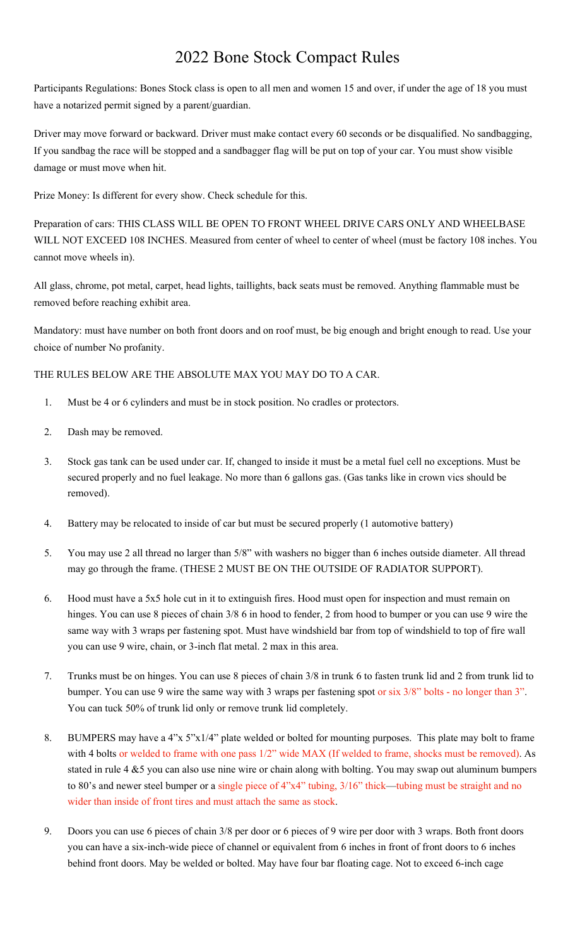## 2022 Bone Stock Compact Rules

Participants Regulations: Bones Stock class is open to all men and women 15 and over, if under the age of 18 you must have a notarized permit signed by a parent/guardian.

Driver may move forward or backward. Driver must make contact every 60 seconds or be disqualified. No sandbagging, If you sandbag the race will be stopped and a sandbagger flag will be put on top of your car. You must show visible damage or must move when hit.

Prize Money: Is different for every show. Check schedule for this.

Preparation of cars: THIS CLASS WILL BE OPEN TO FRONT WHEEL DRIVE CARS ONLY AND WHEELBASE WILL NOT EXCEED 108 INCHES. Measured from center of wheel to center of wheel (must be factory 108 inches. You cannot move wheels in).

All glass, chrome, pot metal, carpet, head lights, taillights, back seats must be removed. Anything flammable must be removed before reaching exhibit area.

Mandatory: must have number on both front doors and on roof must, be big enough and bright enough to read. Use your choice of number No profanity.

THE RULES BELOW ARE THE ABSOLUTE MAX YOU MAY DO TO A CAR.

- 1. Must be 4 or 6 cylinders and must be in stock position. No cradles or protectors.
- 2. Dash may be removed.
- 3. Stock gas tank can be used under car. If, changed to inside it must be a metal fuel cell no exceptions. Must be secured properly and no fuel leakage. No more than 6 gallons gas. (Gas tanks like in crown vics should be removed).
- 4. Battery may be relocated to inside of car but must be secured properly (1 automotive battery)
- 5. You may use 2 all thread no larger than 5/8" with washers no bigger than 6 inches outside diameter. All thread may go through the frame. (THESE 2 MUST BE ON THE OUTSIDE OF RADIATOR SUPPORT).
- 6. Hood must have a 5x5 hole cut in it to extinguish fires. Hood must open for inspection and must remain on hinges. You can use 8 pieces of chain  $3/8$  6 in hood to fender, 2 from hood to bumper or you can use 9 wire the same way with 3 wraps per fastening spot. Must have windshield bar from top of windshield to top of fire wall you can use 9 wire, chain, or 3-inch flat metal. 2 max in this area.
- 7. Trunks must be on hinges. You can use 8 pieces of chain 3/8 in trunk 6 to fasten trunk lid and 2 from trunk lid to bumper. You can use 9 wire the same way with 3 wraps per fastening spot or six 3/8" bolts - no longer than 3". You can tuck 50% of trunk lid only or remove trunk lid completely.
- 8. BUMPERS may have a 4"x 5"x1/4" plate welded or bolted for mounting purposes. This plate may bolt to frame with 4 bolts or welded to frame with one pass  $1/2$ " wide MAX (If welded to frame, shocks must be removed). As stated in rule 4 &5 you can also use nine wire or chain along with bolting. You may swap out aluminum bumpers to 80's and newer steel bumper or a single piece of 4"x4" tubing, 3/16" thick—tubing must be straight and no wider than inside of front tires and must attach the same as stock.
- 9. Doors you can use 6 pieces of chain 3/8 per door or 6 pieces of 9 wire per door with 3 wraps. Both front doors you can have a six-inch-wide piece of channel or equivalent from 6 inches in front of front doors to 6 inches behind front doors. May be welded or bolted. May have four bar floating cage. Not to exceed 6-inch cage